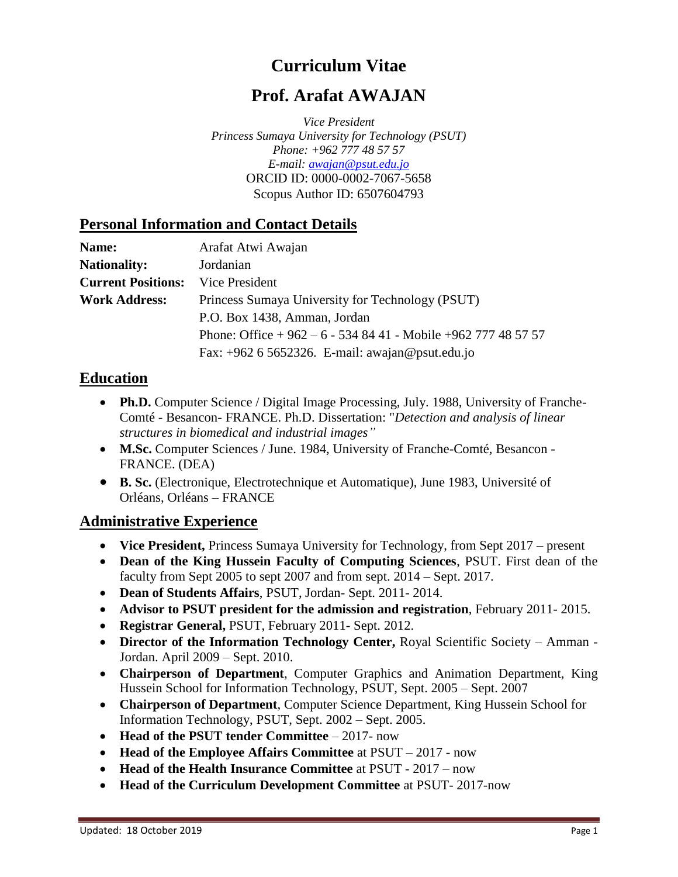# **Curriculum Vitae**

# **Prof. Arafat AWAJAN**

*Vice President Princess Sumaya University for Technology (PSUT) Phone: +962 777 48 57 57 E-mail: [awajan@psut.edu.jo](mailto:awajan@psut.edu.jo)* ORCID ID: 0000-0002-7067-5658 [Scopus Author ID: 6507604793](http://www.scopus.com/inward/authorDetails.url?authorID=6507604793&partnerID=MN8TOARS)

#### **Personal Information and Contact Details**

| Name:                     | Arafat Atwi Awajan                                          |
|---------------------------|-------------------------------------------------------------|
| <b>Nationality:</b>       | Jordanian                                                   |
| <b>Current Positions:</b> | Vice President                                              |
| <b>Work Address:</b>      | Princess Sumaya University for Technology (PSUT)            |
|                           | P.O. Box 1438, Amman, Jordan                                |
|                           | Phone: Office $+962 - 6 - 5348441 -$ Mobile $+962777485757$ |
|                           | Fax: +962 6 5652326. E-mail: awajan@psut.edu.jo             |

#### **Education**

- Ph.D. Computer Science / Digital Image Processing, July. 1988, University of Franche-Comté - Besancon- FRANCE. Ph.D. Dissertation: "*Detection and analysis of linear structures in biomedical and industrial images"*
- **M.Sc.** Computer Sciences / June. 1984, University of Franche-Comté, Besancon FRANCE. (DEA)
- **B. Sc.** (Electronique, Electrotechnique et Automatique), June 1983, Université of Orléans, Orléans – FRANCE

#### **Administrative Experience**

- **Vice President,** Princess Sumaya University for Technology, from Sept 2017 present
- **Dean of the King Hussein Faculty of Computing Sciences**, PSUT. First dean of the faculty from Sept 2005 to sept 2007 and from sept. 2014 – Sept. 2017.
- **Dean of Students Affairs**, PSUT, Jordan- Sept. 2011- 2014.
- **Advisor to PSUT president for the admission and registration**, February 2011- 2015.
- **Registrar General,** PSUT, February 2011- Sept. 2012.
- **Director of the Information Technology Center,** Royal Scientific Society Amman Jordan. April 2009 – Sept. 2010.
- **Chairperson of Department**, Computer Graphics and Animation Department, King Hussein School for Information Technology, PSUT, Sept. 2005 – Sept. 2007
- **Chairperson of Department**, Computer Science Department, King Hussein School for Information Technology, PSUT, Sept. 2002 – Sept. 2005.
- **Head of the PSUT tender Committee** 2017- now
- **Head of the Employee Affairs Committee** at PSUT 2017 now
- **Head of the Health Insurance Committee** at PSUT 2017 now
- **Head of the Curriculum Development Committee** at PSUT- 2017-now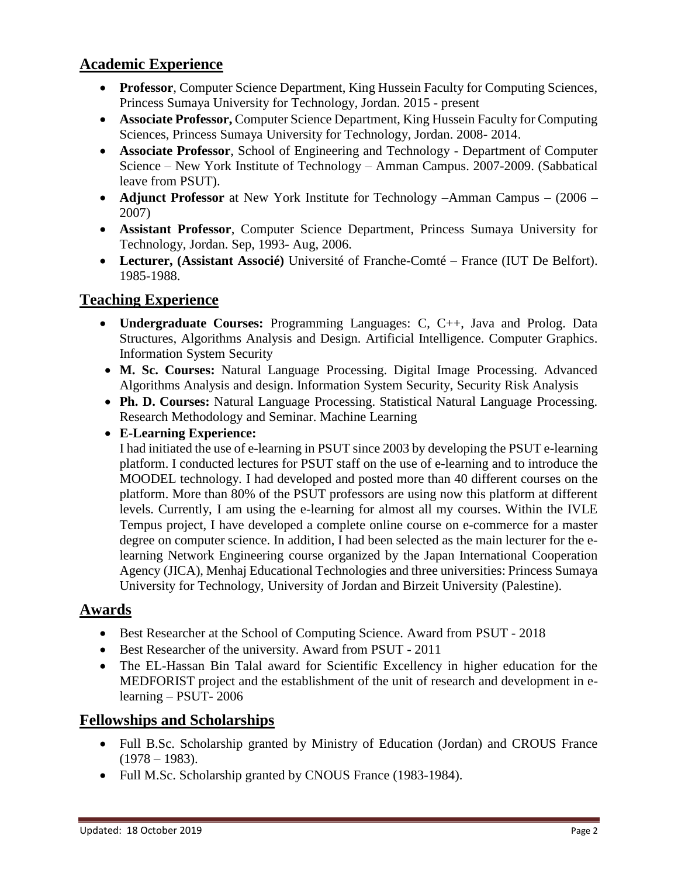## **Academic Experience**

- **Professor**, Computer Science Department, King Hussein Faculty for Computing Sciences, Princess Sumaya University for Technology, Jordan. 2015 - present
- **Associate Professor,** Computer Science Department, King Hussein Faculty for Computing Sciences, Princess Sumaya University for Technology, Jordan. 2008- 2014.
- **Associate Professor**, School of Engineering and Technology Department of Computer Science – New York Institute of Technology – Amman Campus. 2007-2009. (Sabbatical leave from PSUT).
- **Adjunct Professor** at New York Institute for Technology –Amman Campus (2006 2007)
- **Assistant Professor**, Computer Science Department, Princess Sumaya University for Technology, Jordan. Sep, 1993- Aug, 2006.
- **Lecturer, (Assistant Associé)** Université of Franche-Comté France (IUT De Belfort). 1985-1988.

# **Teaching Experience**

- **Undergraduate Courses:** Programming Languages: C, C++, Java and Prolog. Data Structures, Algorithms Analysis and Design. Artificial Intelligence. Computer Graphics. Information System Security
- **M. Sc. Courses:** Natural Language Processing. Digital Image Processing. Advanced Algorithms Analysis and design. Information System Security, Security Risk Analysis
- **Ph. D. Courses:** Natural Language Processing. Statistical Natural Language Processing. Research Methodology and Seminar. Machine Learning
- **E-Learning Experience:**

I had initiated the use of e-learning in PSUT since 2003 by developing the PSUT e-learning platform. I conducted lectures for PSUT staff on the use of e-learning and to introduce the MOODEL technology. I had developed and posted more than 40 different courses on the platform. More than 80% of the PSUT professors are using now this platform at different levels. Currently, I am using the e-learning for almost all my courses. Within the IVLE Tempus project, I have developed a complete online course on e-commerce for a master degree on computer science. In addition, I had been selected as the main lecturer for the elearning Network Engineering course organized by the Japan International Cooperation Agency (JICA), Menhaj Educational Technologies and three universities: Princess Sumaya University for Technology, University of Jordan and Birzeit University (Palestine).

## **Awards**

- Best Researcher at the School of Computing Science. Award from PSUT 2018
- Best Researcher of the university. Award from PSUT 2011
- The EL-Hassan Bin Talal award for Scientific Excellency in higher education for the MEDFORIST project and the establishment of the unit of research and development in elearning – PSUT- 2006

## **Fellowships and Scholarships**

- Full B.Sc. Scholarship granted by Ministry of Education (Jordan) and CROUS France  $(1978 - 1983)$ .
- Full M.Sc. Scholarship granted by CNOUS France (1983-1984).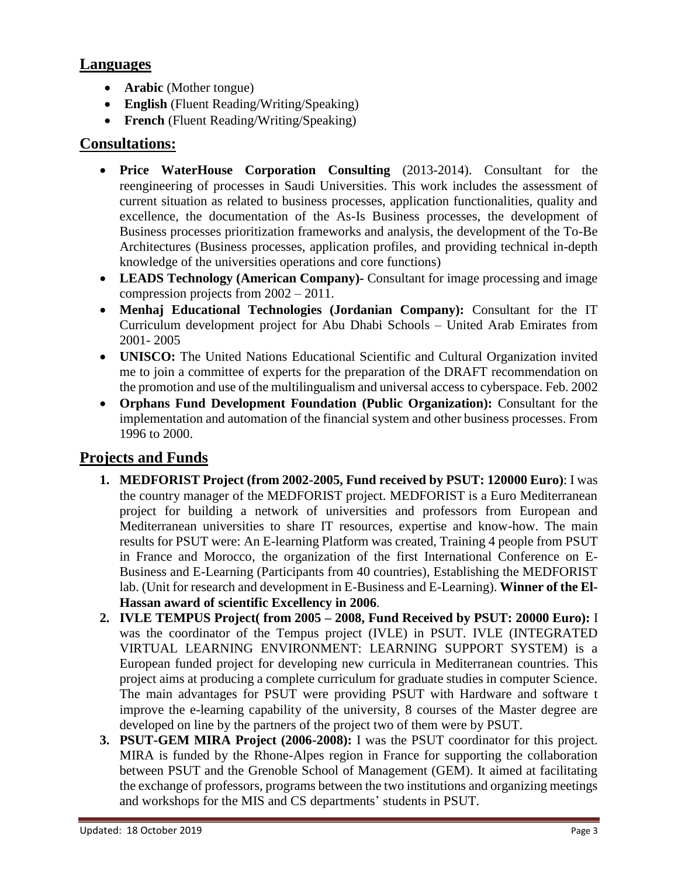### **Languages**

- **Arabic** (Mother tongue)
- **English** (Fluent Reading/Writing/Speaking)
- **French** (Fluent Reading/Writing/Speaking)

### **Consultations:**

- **Price WaterHouse Corporation Consulting** (2013-2014). Consultant for the reengineering of processes in Saudi Universities. This work includes the assessment of current situation as related to business processes, application functionalities, quality and excellence, the documentation of the As-Is Business processes, the development of Business processes prioritization frameworks and analysis, the development of the To-Be Architectures (Business processes, application profiles, and providing technical in-depth knowledge of the universities operations and core functions)
- **LEADS Technology (American Company)-** Consultant for image processing and image compression projects from 2002 – 2011.
- **Menhaj Educational Technologies (Jordanian Company):** Consultant for the IT Curriculum development project for Abu Dhabi Schools – United Arab Emirates from 2001- 2005
- **UNISCO:** The United Nations Educational Scientific and Cultural Organization invited me to join a committee of experts for the preparation of the DRAFT recommendation on the promotion and use of the multilingualism and universal access to cyberspace. Feb. 2002
- **Orphans Fund Development Foundation (Public Organization):** Consultant for the implementation and automation of the financial system and other business processes. From 1996 to 2000.

## **Projects and Funds**

- **1. MEDFORIST Project (from 2002-2005, Fund received by PSUT: 120000 Euro)**: I was the country manager of the MEDFORIST project. MEDFORIST is a Euro Mediterranean project for building a network of universities and professors from European and Mediterranean universities to share IT resources, expertise and know-how. The main results for PSUT were: An E-learning Platform was created, Training 4 people from PSUT in France and Morocco, the organization of the first International Conference on E-Business and E-Learning (Participants from 40 countries), Establishing the MEDFORIST lab. (Unit for research and development in E-Business and E-Learning). **Winner of the El-Hassan award of scientific Excellency in 2006**.
- **2. IVLE TEMPUS Project( from 2005 – 2008, Fund Received by PSUT: 20000 Euro):** I was the coordinator of the Tempus project (IVLE) in PSUT. IVLE (INTEGRATED VIRTUAL LEARNING ENVIRONMENT: LEARNING SUPPORT SYSTEM) is a European funded project for developing new curricula in Mediterranean countries. This project aims at producing a complete curriculum for graduate studies in computer Science. The main advantages for PSUT were providing PSUT with Hardware and software t improve the e-learning capability of the university, 8 courses of the Master degree are developed on line by the partners of the project two of them were by PSUT.
- **3. PSUT-GEM MIRA Project (2006-2008):** I was the PSUT coordinator for this project. MIRA is funded by the Rhone-Alpes region in France for supporting the collaboration between PSUT and the Grenoble School of Management (GEM). It aimed at facilitating the exchange of professors, programs between the two institutions and organizing meetings and workshops for the MIS and CS departments' students in PSUT.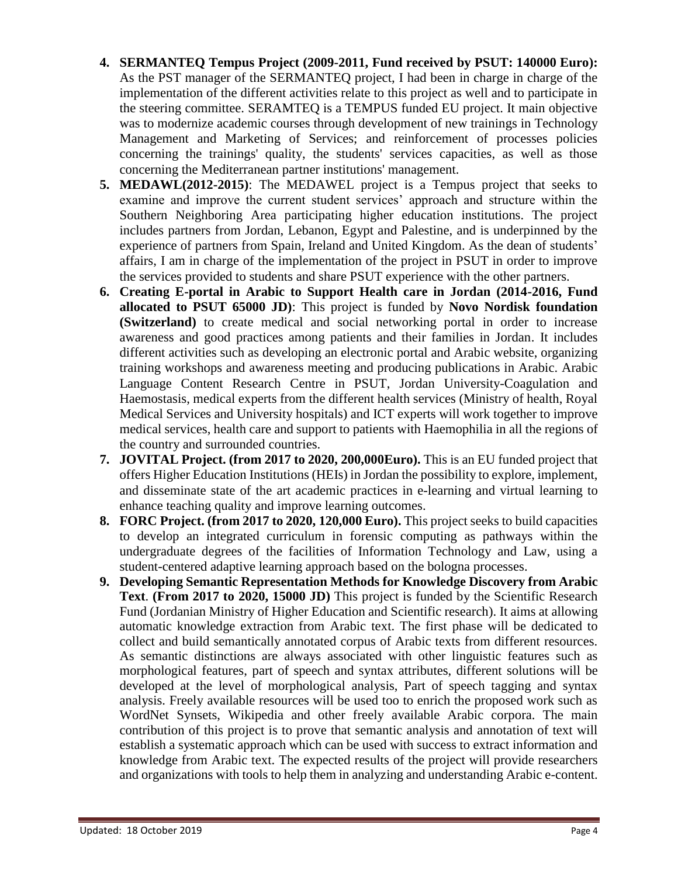- **4. SERMANTEQ Tempus Project (2009-2011, Fund received by PSUT: 140000 Euro):**  As the PST manager of the SERMANTEQ project, I had been in charge in charge of the implementation of the different activities relate to this project as well and to participate in the steering committee. SERAMTEQ is a TEMPUS funded EU project. It main objective was to modernize academic courses through development of new trainings in Technology Management and Marketing of Services; and reinforcement of processes policies concerning the trainings' quality, the students' services capacities, as well as those concerning the Mediterranean partner institutions' management.
- **5. MEDAWL(2012-2015)**: The MEDAWEL project is a Tempus project that seeks to examine and improve the current student services' approach and structure within the Southern Neighboring Area participating higher education institutions. The project includes partners from Jordan, Lebanon, Egypt and Palestine, and is underpinned by the experience of partners from Spain, Ireland and United Kingdom. As the dean of students' affairs, I am in charge of the implementation of the project in PSUT in order to improve the services provided to students and share PSUT experience with the other partners.
- **6. Creating E-portal in Arabic to Support Health care in Jordan (2014-2016, Fund allocated to PSUT 65000 JD)**: This project is funded by **Novo Nordisk foundation (Switzerland)** to create medical and social networking portal in order to increase awareness and good practices among patients and their families in Jordan. It includes different activities such as developing an electronic portal and Arabic website, organizing training workshops and awareness meeting and producing publications in Arabic. Arabic Language Content Research Centre in PSUT, Jordan University-Coagulation and Haemostasis, medical experts from the different health services (Ministry of health, Royal Medical Services and University hospitals) and ICT experts will work together to improve medical services, health care and support to patients with Haemophilia in all the regions of the country and surrounded countries.
- **7. JOVITAL Project. (from 2017 to 2020, 200,000Euro).** This is an EU funded project that offers Higher Education Institutions (HEIs) in Jordan the possibility to explore, implement, and disseminate state of the art academic practices in e-learning and virtual learning to enhance teaching quality and improve learning outcomes.
- **8. FORC Project. (from 2017 to 2020, 120,000 Euro).** This project seeks to build capacities to develop an integrated curriculum in forensic computing as pathways within the undergraduate degrees of the facilities of Information Technology and Law, using a student-centered adaptive learning approach based on the bologna processes.
- **9. Developing Semantic Representation Methods for Knowledge Discovery from Arabic Text**. **(From 2017 to 2020, 15000 JD)** This project is funded by the Scientific Research Fund (Jordanian Ministry of Higher Education and Scientific research). It aims at allowing automatic knowledge extraction from Arabic text. The first phase will be dedicated to collect and build semantically annotated corpus of Arabic texts from different resources. As semantic distinctions are always associated with other linguistic features such as morphological features, part of speech and syntax attributes, different solutions will be developed at the level of morphological analysis, Part of speech tagging and syntax analysis. Freely available resources will be used too to enrich the proposed work such as WordNet Synsets, Wikipedia and other freely available Arabic corpora. The main contribution of this project is to prove that semantic analysis and annotation of text will establish a systematic approach which can be used with success to extract information and knowledge from Arabic text. The expected results of the project will provide researchers and organizations with tools to help them in analyzing and understanding Arabic e-content.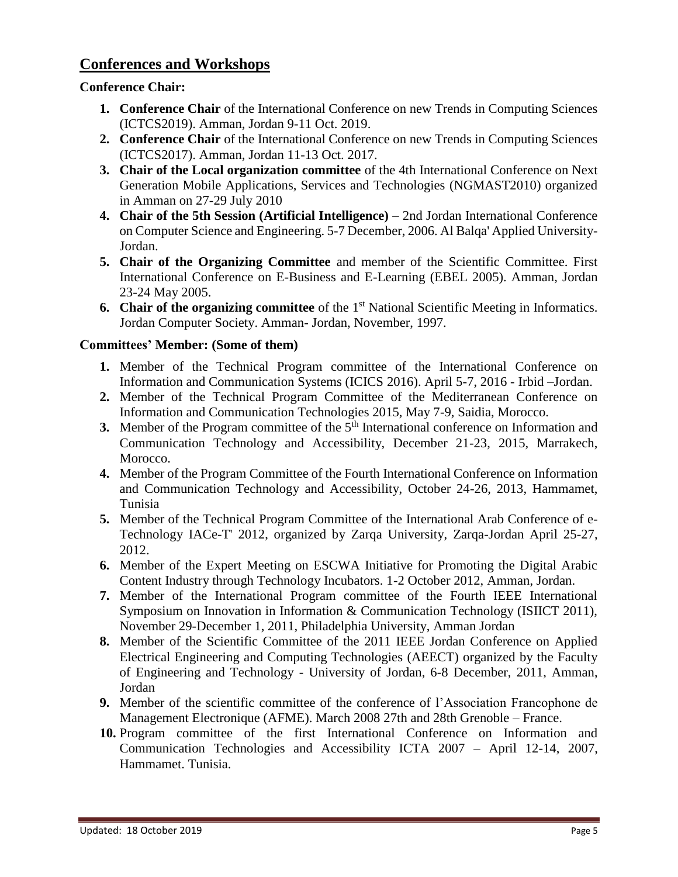### **Conferences and Workshops**

#### **Conference Chair:**

- **1. Conference Chair** of the International Conference on new Trends in Computing Sciences (ICTCS2019). Amman, Jordan 9-11 Oct. 2019.
- **2. Conference Chair** of the International Conference on new Trends in Computing Sciences (ICTCS2017). Amman, Jordan 11-13 Oct. 2017.
- **3. Chair of the Local organization committee** of the 4th International Conference on Next Generation Mobile Applications, Services and Technologies (NGMAST2010) organized in Amman on 27-29 July 2010
- **4. Chair of the 5th Session (Artificial Intelligence)** 2nd Jordan International Conference on Computer Science and Engineering. 5-7 December, 2006. Al Balqa' Applied University-Jordan.
- **5. Chair of the Organizing Committee** and member of the Scientific Committee. First International Conference on E-Business and E-Learning (EBEL 2005). Amman, Jordan 23-24 May 2005.
- **6. Chair of the organizing committee** of the 1<sup>st</sup> National Scientific Meeting in Informatics. Jordan Computer Society. Amman- Jordan, November, 1997.

#### **Committees' Member: (Some of them)**

- **1.** Member of the Technical Program committee of the International Conference on Information and Communication Systems (ICICS 2016). April 5-7, 2016 - Irbid –Jordan.
- **2.** Member of the Technical Program Committee of the Mediterranean Conference on Information and Communication Technologies 2015, May 7-9, Saidia, Morocco.
- **3.** Member of the Program committee of the 5<sup>th</sup> International conference on Information and Communication Technology and Accessibility, December 21-23, 2015, Marrakech, Morocco.
- **4.** Member of the Program Committee of the Fourth International Conference on Information and Communication Technology and Accessibility, October 24-26, 2013, Hammamet, Tunisia
- **5.** Member of the Technical Program Committee of the International Arab Conference of e-Technology IACe-T' 2012, organized by [Zarqa University,](http://www.zu.edu.jo/) Zarqa-Jordan April 25-27, 2012.
- **6.** Member of the Expert Meeting on ESCWA Initiative for Promoting the Digital Arabic Content Industry through Technology Incubators. 1-2 October 2012, Amman, Jordan.
- **7.** Member of the International Program committee of the Fourth IEEE International Symposium on Innovation in Information & Communication Technology (ISIICT 2011), November 29-December 1, 2011, Philadelphia University, Amman Jordan
- **8.** Member of the Scientific Committee of the 2011 IEEE Jordan Conference on Applied Electrical Engineering and Computing Technologies (AEECT) organized by the Faculty of Engineering and Technology - University of Jordan, 6-8 December, 2011, Amman, Jordan
- **9.** Member of the scientific committee of the conference of l'Association Francophone de Management Electronique (AFME). March 2008 27th and 28th Grenoble – France.
- **10.** Program committee of the first International Conference on Information and Communication Technologies and Accessibility ICTA 2007 – April 12-14, 2007, Hammamet. Tunisia.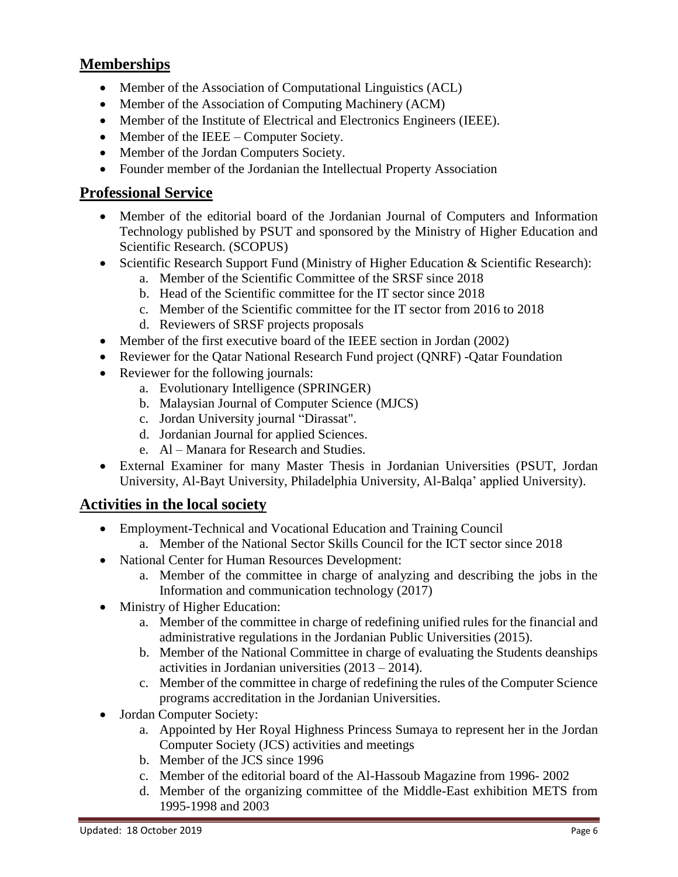## **Memberships**

- Member of the Association of Computational Linguistics (ACL)
- Member of the Association of Computing Machinery (ACM)
- Member of the Institute of Electrical and Electronics Engineers (IEEE).
- Member of the IEEE Computer Society.
- Member of the Jordan Computers Society.
- Founder member of the Jordanian the Intellectual Property Association

### **Professional Service**

- Member of the editorial board of the Jordanian Journal of Computers and Information Technology published by PSUT and sponsored by the Ministry of Higher Education and Scientific Research. (SCOPUS)
- Scientific Research Support Fund (Ministry of Higher Education & Scientific Research):
	- a. Member of the Scientific Committee of the SRSF since 2018
	- b. Head of the Scientific committee for the IT sector since 2018
	- c. Member of the Scientific committee for the IT sector from 2016 to 2018
	- d. Reviewers of SRSF projects proposals
- Member of the first executive board of the IEEE section in Jordan (2002)
- Reviewer for the Qatar National Research Fund project (QNRF) -Qatar Foundation
- Reviewer for the following journals:
	- a. Evolutionary Intelligence (SPRINGER)
	- b. Malaysian Journal of Computer Science (MJCS)
	- c. Jordan University journal "Dirassat".
	- d. Jordanian Journal for applied Sciences.
	- e. Al Manara for Research and Studies.
- External Examiner for many Master Thesis in Jordanian Universities (PSUT, Jordan University, Al-Bayt University, Philadelphia University, Al-Balqa' applied University).

## **Activities in the local society**

- Employment-Technical and Vocational Education and Training Council a. Member of the National Sector Skills Council for the ICT sector since 2018
- National Center for Human Resources Development:
	- a. Member of the committee in charge of analyzing and describing the jobs in the Information and communication technology (2017)
- Ministry of Higher Education:
	- a. Member of the committee in charge of redefining unified rules for the financial and administrative regulations in the Jordanian Public Universities (2015).
	- b. Member of the National Committee in charge of evaluating the Students deanships activities in Jordanian universities (2013 – 2014).
	- c. Member of the committee in charge of redefining the rules of the Computer Science programs accreditation in the Jordanian Universities.
- Jordan Computer Society:
	- a. Appointed by Her Royal Highness Princess Sumaya to represent her in the Jordan Computer Society (JCS) activities and meetings
	- b. Member of the JCS since 1996
	- c. Member of the editorial board of the Al-Hassoub Magazine from 1996- 2002
	- d. Member of the organizing committee of the Middle-East exhibition METS from 1995-1998 and 2003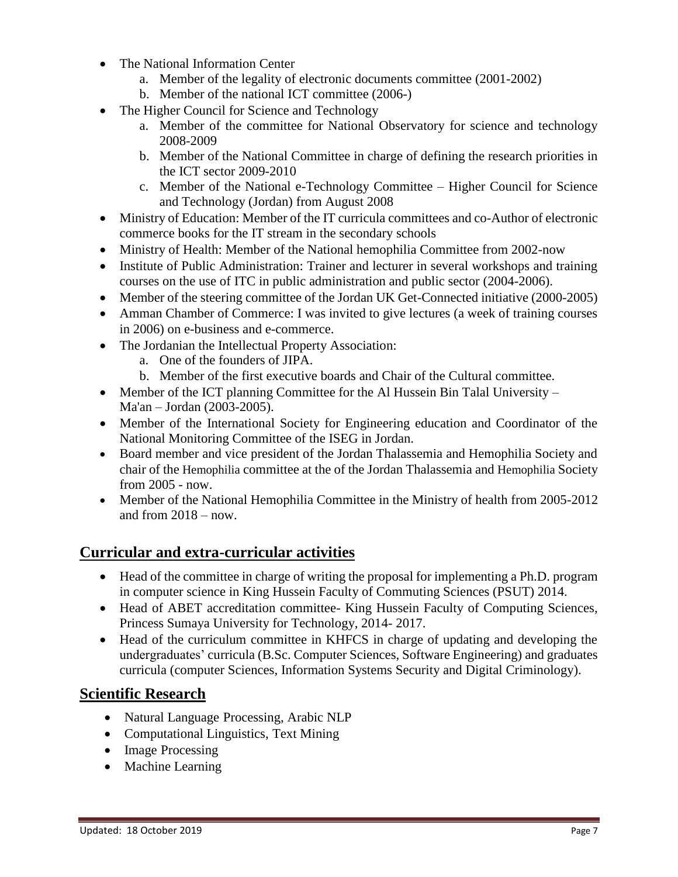- The National Information Center
	- a. Member of the legality of electronic documents committee (2001-2002)
	- b. Member of the national ICT committee (2006-)
- The Higher Council for Science and Technology
	- a. Member of the committee for National Observatory for science and technology 2008-2009
	- b. Member of the National Committee in charge of defining the research priorities in the ICT sector 2009-2010
	- c. Member of the National e-Technology Committee Higher Council for Science and Technology (Jordan) from August 2008
- Ministry of Education: Member of the IT curricula committees and co-Author of electronic commerce books for the IT stream in the secondary schools
- Ministry of Health: Member of the National hemophilia Committee from 2002-now
- Institute of Public Administration: Trainer and lecturer in several workshops and training courses on the use of ITC in public administration and public sector (2004-2006).
- Member of the steering committee of the Jordan UK Get-Connected initiative (2000-2005)
- Amman Chamber of Commerce: I was invited to give lectures (a week of training courses in 2006) on e-business and e-commerce.
- The Jordanian the Intellectual Property Association:
	- a. One of the founders of JIPA.
	- b. Member of the first executive boards and Chair of the Cultural committee.
- Member of the ICT planning Committee for the Al Hussein Bin Talal University Ma'an – Jordan (2003-2005).
- Member of the International Society for Engineering education and Coordinator of the National Monitoring Committee of the ISEG in Jordan.
- Board member and vice president of the Jordan Thalassemia and Hemophilia Society and chair of the Hemophilia committee at the of the Jordan Thalassemia and Hemophilia Society from 2005 - now.
- Member of the National Hemophilia Committee in the Ministry of health from 2005-2012 and from  $2018 - now$ .

# **Curricular and extra-curricular activities**

- Head of the committee in charge of writing the proposal for implementing a Ph.D. program in computer science in King Hussein Faculty of Commuting Sciences (PSUT) 2014.
- Head of ABET accreditation committee- King Hussein Faculty of Computing Sciences, Princess Sumaya University for Technology, 2014- 2017.
- Head of the curriculum committee in KHFCS in charge of updating and developing the undergraduates' curricula (B.Sc. Computer Sciences, Software Engineering) and graduates curricula (computer Sciences, Information Systems Security and Digital Criminology).

## **Scientific Research**

- Natural Language Processing, Arabic NLP
- Computational Linguistics, Text Mining
- Image Processing
- Machine Learning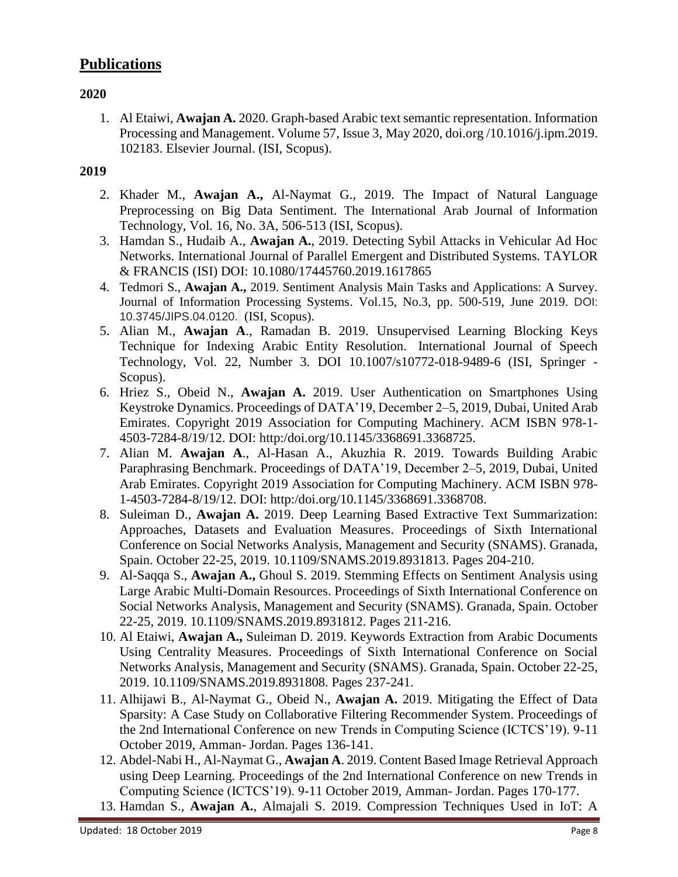## **Publications**

#### **2020**

1. Al Etaiwi, **Awajan A.** 2020. Graph-based Arabic text semantic representation[. Information](https://www.sciencedirect.com/science/journal/03064573)  [Processing and](https://www.sciencedirect.com/science/journal/03064573) Management[. Volume 57, Issue 3,](https://www.sciencedirect.com/science/journal/03064573/57/3) May 2020, doi.org [/10.1016/j.ipm.2019.](https://doi.org/10.1016/j.ipm.2019.102183) [102183.](https://doi.org/10.1016/j.ipm.2019.102183) Elsevier Journal. (ISI, Scopus).

- 2. Khader M., **Awajan A.,** Al-Naymat G., 2019. The Impact of Natural Language Preprocessing on Big Data Sentiment. The International Arab Journal of Information Technology, Vol. 16, No. 3A, 506-513 (ISI, Scopus).
- 3. Hamdan S., Hudaib A., **Awajan A.**, 2019. Detecting Sybil Attacks in Vehicular Ad Hoc Networks. International Journal of Parallel Emergent and Distributed Systems. TAYLOR & FRANCIS (ISI) DOI: 10.1080/17445760.2019.1617865
- 4. Tedmori S., **Awajan A.,** 2019. Sentiment Analysis Main Tasks and Applications: A Survey. Journal of Information Processing Systems. Vol.15, No.3, pp. 500-519, June 2019. DOI: 10.3745/JIPS.04.0120. (ISI, Scopus).
- 5. Alian M., **Awajan A**., Ramadan B. 2019. Unsupervised Learning Blocking Keys Technique for Indexing Arabic Entity Resolution. International Journal of Speech Technology, Vol. 22, Number 3. DOI 10.1007/s10772-018-9489-6 (ISI, Springer - Scopus).
- 6. Hriez S., Obeid N., **Awajan A.** 2019. User Authentication on Smartphones Using Keystroke Dynamics. Proceedings of DATA'19, December 2–5, 2019, Dubai, United Arab Emirates. Copyright 2019 Association for Computing Machinery. ACM ISBN 978-1- 4503-7284-8/19/12. DOI: http:/doi.org/10.1145/3368691.3368725.
- 7. Alian M. **Awajan A**., Al-Hasan A., Akuzhia R. 2019. Towards Building Arabic Paraphrasing Benchmark. Proceedings of DATA'19, December 2–5, 2019, Dubai, United Arab Emirates. Copyright 2019 Association for Computing Machinery. ACM ISBN 978- 1-4503-7284-8/19/12. DOI: http:/doi.org/10.1145/3368691.3368708.
- 8. Suleiman D., **Awajan A.** 2019. Deep Learning Based Extractive Text Summarization: Approaches, Datasets and Evaluation Measures. Proceedings of [Sixth International](https://ieeexplore.ieee.org/xpl/conhome/8926314/proceeding)  [Conference on Social Networks Analysis, Management and Security \(SNAMS\).](https://ieeexplore.ieee.org/xpl/conhome/8926314/proceeding) Granada, Spain. October 22-25, 2019. [10.1109/SNAMS.2019.8931813.](https://doi.org/10.1109/SNAMS.2019.8931813) Pages 204-210.
- 9. Al-Saqqa S., **Awajan A.,** Ghoul S. 2019. [Stemming Effects on Sentiment Analysis using](https://ieeexplore.ieee.org/document/8931812/)  [Large Arabic Multi-Domain Resources.](https://ieeexplore.ieee.org/document/8931812/) Proceedings of [Sixth International Conference on](https://ieeexplore.ieee.org/xpl/conhome/8926314/proceeding)  [Social Networks Analysis, Management and Security \(SNAMS\).](https://ieeexplore.ieee.org/xpl/conhome/8926314/proceeding) Granada, Spain. October 22-25, 2019. [10.1109/SNAMS.2019.8931812.](https://doi.org/10.1109/SNAMS.2019.8931813) Pages 211-216.
- 10. Al Etaiwi, **Awajan A.,** Suleiman D. 2019. [Keywords Extraction from Arabic Documents](https://ieeexplore.ieee.org/document/8931808/)  [Using Centrality Measures.](https://ieeexplore.ieee.org/document/8931808/) Proceedings of [Sixth International Conference on Social](https://ieeexplore.ieee.org/xpl/conhome/8926314/proceeding)  [Networks Analysis, Management and Security \(SNAMS\).](https://ieeexplore.ieee.org/xpl/conhome/8926314/proceeding) Granada, Spain. October 22-25, 2019. [10.1109/SNAMS.2019.8931808.](https://doi.org/10.1109/SNAMS.2019.8931813) Pages 237-241.
- 11. Alhijawi B., Al-Naymat G., Obeid N., **Awajan A.** 2019. Mitigating the Effect of Data Sparsity: A Case Study on Collaborative Filtering Recommender System. Proceedings of the 2nd International Conference on new Trends in Computing Science (ICTCS'19). 9-11 October 2019, Amman- Jordan. Pages 136-141.
- 12. Abdel-Nabi H., Al-Naymat G., **Awajan A**. 2019. Content Based Image Retrieval Approach using Deep Learning. Proceedings of the 2nd International Conference on new Trends in Computing Science (ICTCS'19). 9-11 October 2019, Amman- Jordan. Pages 170-177.
- 13. Hamdan S., **Awajan A.**, Almajali S. 2019. Compression Techniques Used in IoT: A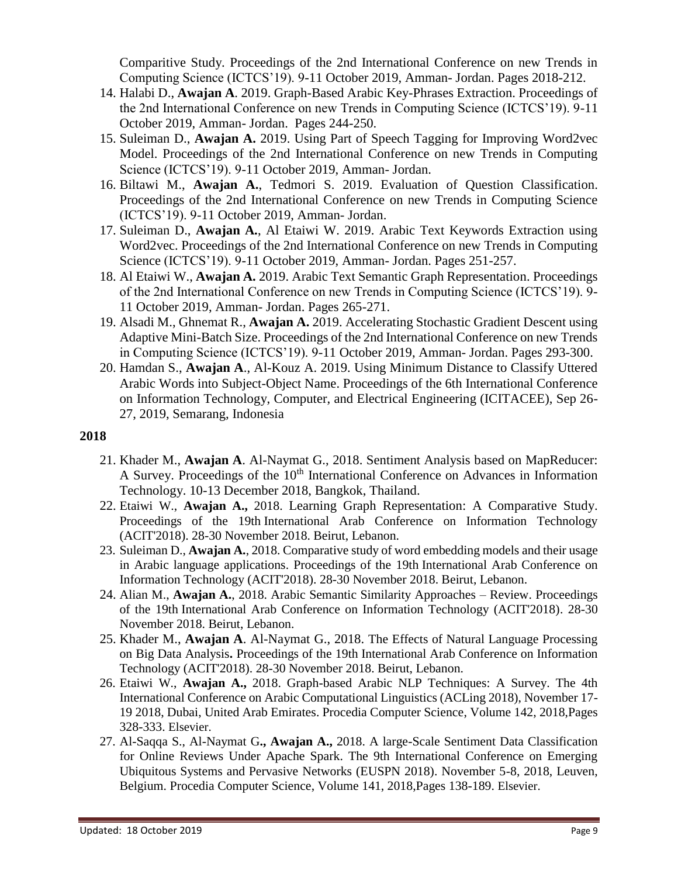Comparitive Study. Proceedings of the 2nd International Conference on new Trends in Computing Science (ICTCS'19). 9-11 October 2019, Amman- Jordan. Pages 2018-212.

- 14. Halabi D., **Awajan A**. 2019. Graph-Based Arabic Key-Phrases Extraction. Proceedings of the 2nd International Conference on new Trends in Computing Science (ICTCS'19). 9-11 October 2019, Amman- Jordan. Pages 244-250.
- 15. Suleiman D., **Awajan A.** 2019. Using Part of Speech Tagging for Improving Word2vec Model. Proceedings of the 2nd International Conference on new Trends in Computing Science (ICTCS'19). 9-11 October 2019, Amman- Jordan.
- 16. Biltawi M., **Awajan A.**, Tedmori S. 2019. Evaluation of Question Classification. Proceedings of the 2nd International Conference on new Trends in Computing Science (ICTCS'19). 9-11 October 2019, Amman- Jordan.
- 17. Suleiman D., **Awajan A.**, Al Etaiwi W. 2019. Arabic Text Keywords Extraction using Word2vec. Proceedings of the 2nd International Conference on new Trends in Computing Science (ICTCS'19). 9-11 October 2019, Amman- Jordan. Pages 251-257.
- 18. Al Etaiwi W., **Awajan A.** 2019. Arabic Text Semantic Graph Representation. Proceedings of the 2nd International Conference on new Trends in Computing Science (ICTCS'19). 9- 11 October 2019, Amman- Jordan. Pages 265-271.
- 19. Alsadi M., Ghnemat R., **Awajan A.** 2019. Accelerating Stochastic Gradient Descent using Adaptive Mini-Batch Size. Proceedings of the 2nd International Conference on new Trends in Computing Science (ICTCS'19). 9-11 October 2019, Amman- Jordan. Pages 293-300.
- 20. Hamdan S., **Awajan A**., Al-Kouz A. 2019. Using Minimum Distance to Classify Uttered Arabic Words into Subject-Object Name. Proceedings of the 6th International Conference on Information Technology, Computer, and Electrical Engineering (ICITACEE), Sep 26- 27, 2019, Semarang, Indonesia

- 21. Khader M., **Awajan A**. Al-Naymat G., 2018. Sentiment Analysis based on MapReducer: A Survey. Proceedings of the 10<sup>th</sup> International Conference on Advances in Information Technology. 10-13 December 2018, Bangkok, Thailand.
- 22. Etaiwi W., **Awajan A.,** 2018. Learning Graph Representation: A Comparative Study. Proceedings of the 19th International Arab Conference on Information Technology (ACIT'2018). 28-30 November 2018. Beirut, Lebanon.
- 23. Suleiman D., **Awajan A.**, 2018. Comparative study of word embedding models and their usage in Arabic language applications. Proceedings of the 19th International Arab Conference on Information Technology (ACIT'2018). 28-30 November 2018. Beirut, Lebanon.
- 24. Alian M., **Awajan A.**, 2018. Arabic Semantic Similarity Approaches Review. Proceedings of the 19th International Arab Conference on Information Technology (ACIT'2018). 28-30 November 2018. Beirut, Lebanon.
- 25. Khader M., **Awajan A**. Al-Naymat G., 2018. The Effects of Natural Language Processing on Big Data Analysis**.** Proceedings of the 19th International Arab Conference on Information Technology (ACIT'2018). 28-30 November 2018. Beirut, Lebanon.
- 26. Etaiwi W., **Awajan A.,** 2018. Graph-based Arabic NLP Techniques: A Survey. The 4th International Conference on Arabic Computational Linguistics (ACLing 2018), November 17- 19 2018, Dubai, United Arab Emirates. [Procedia Computer Science,](https://www.sciencedirect.com/science/journal/18770509) Volume 142, 2018,Pages 328-333. Elsevier.
- 27. Al-Saqqa S., Al-Naymat G**., Awajan A.,** 2018. A large-Scale Sentiment Data Classification for Online Reviews Under Apache Spark. The 9th International Conference on Emerging Ubiquitous Systems and Pervasive Networks (EUSPN 2018). November 5-8, 2018, Leuven, Belgium. [Procedia Computer Science,](https://www.sciencedirect.com/science/journal/18770509) Volume 141, 2018,Pages 138-189. Elsevier.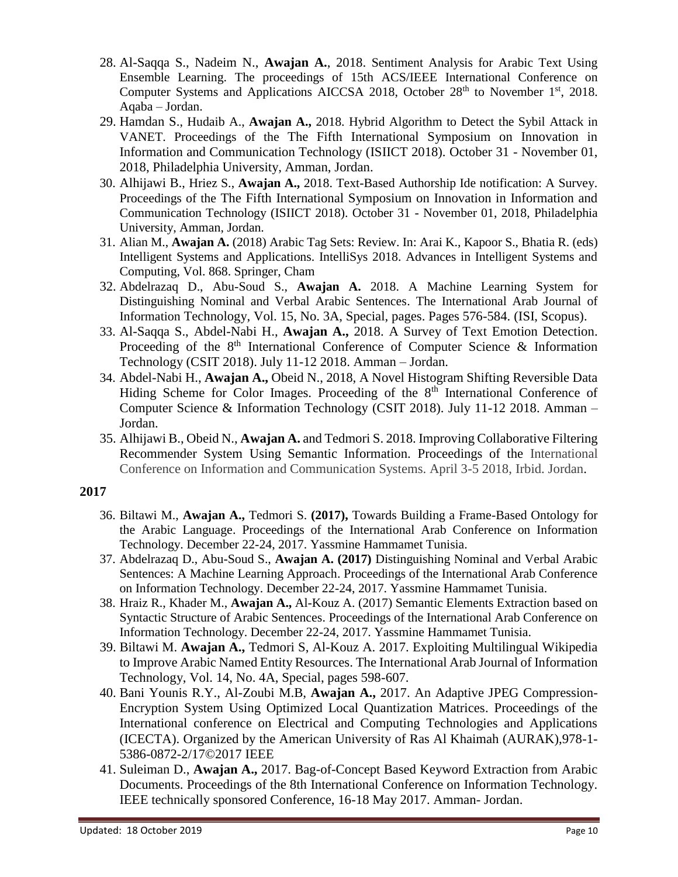- 28. Al-Saqqa S., Nadeim N., **Awajan A.**, 2018. Sentiment Analysis for Arabic Text Using Ensemble Learning. The proceedings of 15th ACS/IEEE International Conference on Computer Systems and Applications AICCSA 2018, October  $28<sup>th</sup>$  to November 1<sup>st</sup>, 2018. Aqaba – Jordan.
- 29. Hamdan S., Hudaib A., **Awajan A.,** 2018. Hybrid Algorithm to Detect the Sybil Attack in VANET. Proceedings of the The Fifth International Symposium on Innovation in Information and Communication Technology (ISIICT 2018). October 31 - November 01, 2018, Philadelphia University, Amman, Jordan.
- 30. Alhijawi B., Hriez S., **Awajan A.,** 2018. Text-Based Authorship Ide notification: A Survey. Proceedings of the The Fifth International Symposium on Innovation in Information and Communication Technology (ISIICT 2018). October 31 - November 01, 2018, Philadelphia University, Amman, Jordan.
- 31. Alian M., **Awajan A.** (2018) Arabic Tag Sets: Review. In: Arai K., Kapoor S., Bhatia R. (eds) Intelligent Systems and Applications. IntelliSys 2018. Advances in Intelligent Systems and Computing, Vol. 868. Springer, Cham
- 32. Abdelrazaq D., Abu-Soud S., **Awajan A.** 2018. A Machine Learning System for Distinguishing Nominal and Verbal Arabic Sentences. The International Arab Journal of Information Technology, Vol. 15, No. 3A, Special, pages. Pages 576-584. (ISI, Scopus).
- 33. Al-Saqqa S., Abdel-Nabi H., **Awajan A.,** 2018. A Survey of Text Emotion Detection. Proceeding of the  $8<sup>th</sup>$  International Conference of Computer Science & Information Technology (CSIT 2018). July 11-12 2018. Amman – Jordan.
- 34. Abdel-Nabi H., **Awajan A.,** Obeid N., 2018, A Novel Histogram Shifting Reversible Data Hiding Scheme for Color Images. Proceeding of the 8<sup>th</sup> International Conference of Computer Science & Information Technology (CSIT 2018). July 11-12 2018. Amman – Jordan.
- 35. Alhijawi B., Obeid N., **Awajan A.** and Tedmori S. 2018. Improving Collaborative Filtering Recommender System Using Semantic Information. Proceedings of the International Conference on Information and Communication Systems. April 3-5 2018, Irbid. Jordan.

- 36. Biltawi M., **Awajan A.,** Tedmori S. **(2017),** Towards Building a Frame-Based Ontology for the Arabic Language. Proceedings of the International Arab Conference on Information Technology. December 22-24, 2017. Yassmine Hammamet Tunisia.
- 37. Abdelrazaq D., Abu-Soud S., **Awajan A. (2017)** Distinguishing Nominal and Verbal Arabic Sentences: A Machine Learning Approach. Proceedings of the International Arab Conference on Information Technology. December 22-24, 2017. Yassmine Hammamet Tunisia.
- 38. Hraiz R., Khader M., **Awajan A.,** Al-Kouz A. (2017) Semantic Elements Extraction based on Syntactic Structure of Arabic Sentences. Proceedings of the International Arab Conference on Information Technology. December 22-24, 2017. Yassmine Hammamet Tunisia.
- 39. Biltawi M. **Awajan A.,** Tedmori S, Al-Kouz A. 2017. Exploiting Multilingual Wikipedia to Improve Arabic Named Entity Resources. The International Arab Journal of Information Technology, Vol. 14, No. 4A, Special, pages 598-607.
- 40. Bani Younis R.Y., Al-Zoubi M.B, **Awajan A.,** 2017. An Adaptive JPEG Compression-Encryption System Using Optimized Local Quantization Matrices. Proceedings of the International conference on Electrical and Computing Technologies and Applications (ICECTA). Organized by the American University of Ras Al Khaimah (AURAK),978-1- 5386-0872-2/17©2017 IEEE
- 41. Suleiman D., **Awajan A.,** 2017. Bag-of-Concept Based Keyword Extraction from Arabic Documents. Proceedings of the 8th International Conference on Information Technology. IEEE technically sponsored Conference, 16-18 May 2017. Amman- Jordan.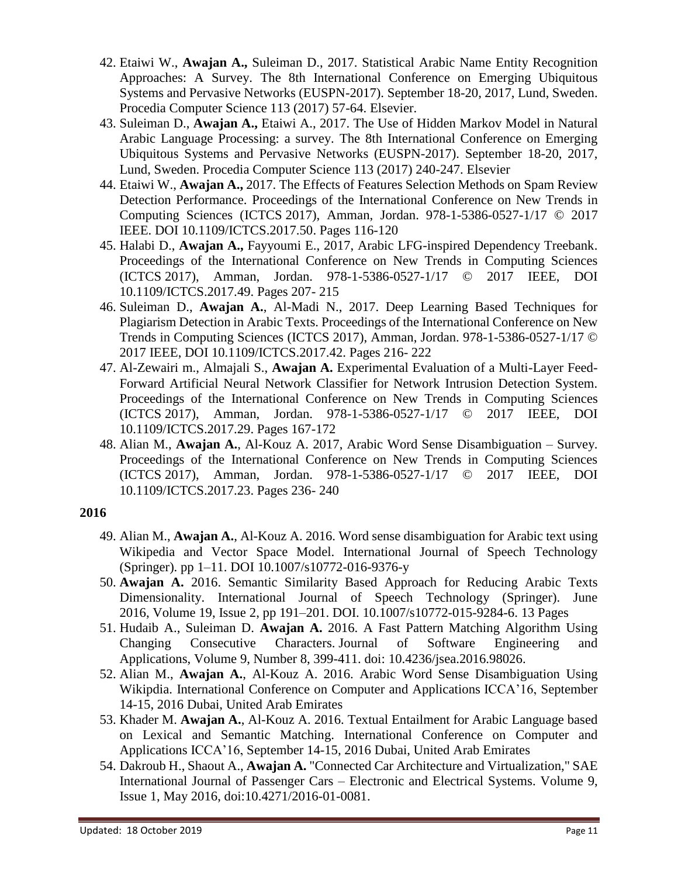- 42. Etaiwi W., **Awajan A.,** Suleiman D., 2017. Statistical Arabic Name Entity Recognition Approaches: A Survey. The 8th International Conference on Emerging Ubiquitous Systems and Pervasive Networks (EUSPN-2017). September 18-20, 2017, Lund, Sweden. Procedia Computer Science 113 (2017) 57-64. Elsevier.
- 43. Suleiman D., **Awajan A.,** Etaiwi A., 2017. The Use of Hidden Markov Model in Natural Arabic Language Processing: a survey. The 8th International Conference on Emerging Ubiquitous Systems and Pervasive Networks (EUSPN-2017). September 18-20, 2017, Lund, Sweden. Procedia Computer Science 113 (2017) 240-247. Elsevier
- 44. Etaiwi W., **Awajan A.,** 2017. The Effects of Features Selection Methods on Spam Review Detection Performance. Proceedings of the International Conference on New Trends in Computing Sciences (ICTCS 2017), Amman, Jordan. 978-1-5386-0527-1/17 © 2017 IEEE. DOI 10.1109/ICTCS.2017.50. Pages 116-120
- 45. Halabi D., **Awajan A.,** Fayyoumi E., 2017, Arabic LFG-inspired Dependency Treebank. Proceedings of the International Conference on New Trends in Computing Sciences (ICTCS 2017), Amman, Jordan. 978-1-5386-0527-1/17 © 2017 IEEE, DOI 10.1109/ICTCS.2017.49. Pages 207- 215
- 46. Suleiman D., **Awajan A.**, Al-Madi N., 2017. Deep Learning Based Techniques for Plagiarism Detection in Arabic Texts. Proceedings of the International Conference on New Trends in Computing Sciences (ICTCS 2017), Amman, Jordan. 978-1-5386-0527-1/17 © 2017 IEEE, DOI 10.1109/ICTCS.2017.42. Pages 216- 222
- 47. Al-Zewairi m., Almajali S., **Awajan A.** Experimental Evaluation of a Multi-Layer Feed-Forward Artificial Neural Network Classifier for Network Intrusion Detection System. Proceedings of the International Conference on New Trends in Computing Sciences (ICTCS 2017), Amman, Jordan. 978-1-5386-0527-1/17 © 2017 IEEE, DOI 10.1109/ICTCS.2017.29. Pages 167-172
- 48. Alian M., **Awajan A.**, Al-Kouz A. 2017, Arabic Word Sense Disambiguation Survey. Proceedings of the International Conference on New Trends in Computing Sciences (ICTCS 2017), Amman, Jordan. 978-1-5386-0527-1/17 © 2017 IEEE, DOI 10.1109/ICTCS.2017.23. Pages 236- 240

- 49. Alian M., **Awajan A.**, Al-Kouz A. 2016. Word sense disambiguation for Arabic text using Wikipedia and Vector Space Model. International Journal of Speech Technology (Springer). pp 1–11. DOI 10.1007/s10772-016-9376-y
- 50. **Awajan A.** 2016. Semantic Similarity Based Approach for Reducing Arabic Texts Dimensionality. International Journal of Speech Technology (Springer). June 2016, Volume 19, [Issue](http://link.springer.com/journal/10772/19/2/page/1) 2, pp 191–201. DOI. 10.1007/s10772-015-9284-6. 13 Pages
- 51. Hudaib A., Suleiman D. **Awajan A.** 2016. A Fast Pattern Matching Algorithm Using Changing Consecutive Characters. Journal of Software Engineering and Applications, Volume 9, Number 8, 399-411. doi: [10.4236/jsea.2016.98026.](http://dx.doi.org/10.4236/jsea.2016.98026)
- 52. Alian M., **Awajan A.**, Al-Kouz A. 2016. Arabic Word Sense Disambiguation Using Wikipdia. International Conference on Computer and Applications ICCA'16, September 14-15, 2016 Dubai, United Arab Emirates
- 53. Khader M. **Awajan A.**, Al-Kouz A. 2016. Textual Entailment for Arabic Language based on Lexical and Semantic Matching. International Conference on Computer and Applications ICCA'16, September 14-15, 2016 Dubai, United Arab Emirates
- 54. Dakroub H., Shaout A., **Awajan A.** "Connected Car Architecture and Virtualization," SAE International Journal of Passenger Cars – Electronic and Electrical Systems. Volume 9, Issue 1, May 2016, doi:10.4271/2016-01-0081.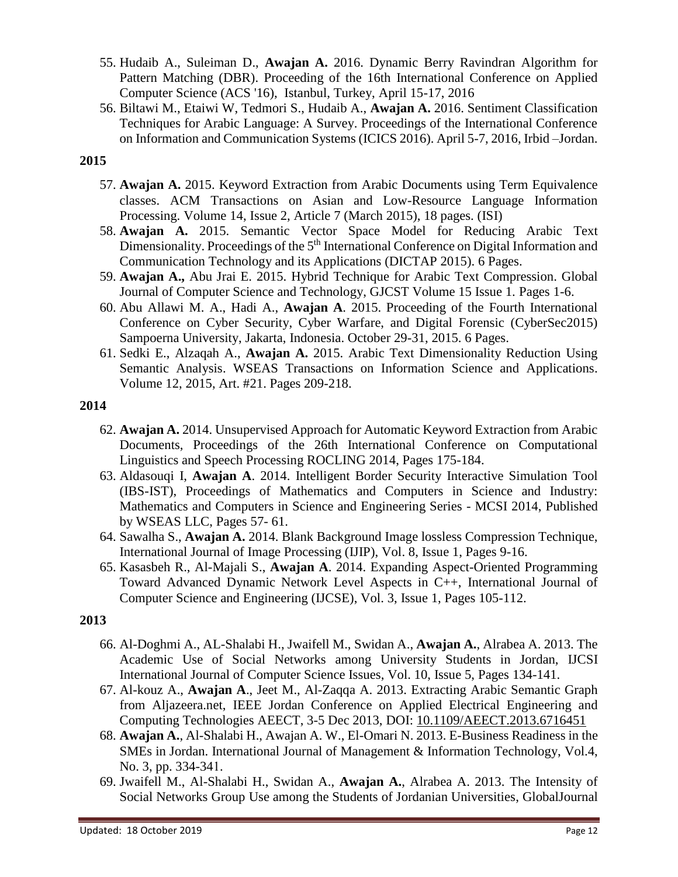- 55. Hudaib A., Suleiman D., **Awajan A.** 2016. Dynamic Berry Ravindran Algorithm for Pattern Matching (DBR). Proceeding of the 16th International Conference on Applied Computer Science (ACS '16), Istanbul, Turkey, April 15-17, 2016
- 56. Biltawi M., Etaiwi W, Tedmori S., Hudaib A., **Awajan A.** 2016. Sentiment Classification Techniques for Arabic Language: A Survey. Proceedings of the International Conference on Information and Communication Systems (ICICS 2016). April 5-7, 2016, Irbid –Jordan.

#### **2015**

- 57. **Awajan A.** 2015. Keyword Extraction from Arabic Documents using Term Equivalence classes. ACM Transactions on Asian and Low-Resource Language Information Processing. Volume 14, Issue 2, Article 7 (March 2015), 18 pages. (ISI)
- 58. **Awajan A.** 2015. Semantic Vector Space Model for Reducing Arabic Text Dimensionality. Proceedings of the 5<sup>th</sup> International Conference on Digital Information and Communication Technology and its Applications (DICTAP 2015). 6 Pages.
- 59. **Awajan A.,** Abu Jrai E. 2015. Hybrid Technique for Arabic Text Compression. Global Journal of Computer Science and Technology, GJCST Volume 15 Issue 1. Pages 1-6.
- 60. Abu Allawi M. A., Hadi A., **Awajan A**. 2015. Proceeding of the Fourth International Conference on Cyber Security, Cyber Warfare, and Digital Forensic (CyberSec2015) Sampoerna University, Jakarta, Indonesia. October 29-31, 2015. 6 Pages.
- 61. Sedki E., Alzaqah A., **Awajan A.** 2015. Arabic Text Dimensionality Reduction Using Semantic Analysis. WSEAS Transactions on Information Science and Applications. Volume 12, 2015, Art. #21. Pages 209-218.

#### **2014**

- 62. **Awajan A.** 2014. Unsupervised Approach for Automatic Keyword Extraction from Arabic Documents, Proceedings of the 26th International Conference on Computational Linguistics and Speech Processing ROCLING 2014, Pages 175-184.
- 63. Aldasouqi I, **Awajan A**. 2014. Intelligent Border Security Interactive Simulation Tool (IBS-IST), Proceedings of Mathematics and Computers in Science and Industry: Mathematics and Computers in Science and Engineering Series - MCSI 2014, Published by WSEAS LLC, Pages 57- 61.
- 64. Sawalha S., **Awajan A.** 2014. Blank Background Image lossless Compression Technique, International Journal of Image Processing (IJIP), Vol. 8, Issue 1, Pages 9-16.
- 65. Kasasbeh R., Al-Majali S., **Awajan A**. 2014. Expanding Aspect-Oriented Programming Toward Advanced Dynamic Network Level Aspects in C++, International Journal of Computer Science and Engineering (IJCSE), Vol. 3, Issue 1, Pages 105-112.

- 66. Al-Doghmi A., AL-Shalabi H., Jwaifell M., Swidan A., **Awajan A.**, Alrabea A. 2013. The Academic Use of Social Networks among University Students in Jordan, IJCSI International Journal of Computer Science Issues, Vol. 10, Issue 5, Pages 134-141.
- 67. Al-kouz A., **Awajan A**., Jeet M., Al-Zaqqa A. 2013. Extracting Arabic Semantic Graph from Aljazeera.net, IEEE Jordan Conference on Applied Electrical Engineering and Computing Technologies AEECT, 3-5 Dec 2013, DOI: [10.1109/AEECT.2013.6716451](http://dx.doi.org/10.1109/AEECT.2013.6716451)
- 68. **Awajan A.**, Al-Shalabi H., Awajan A. W., El-Omari N. 2013. E-Business Readiness in the SMEs in Jordan. International Journal of Management & Information Technology, Vol.4, No. 3, pp. 334-341.
- 69. Jwaifell M., Al-Shalabi H., Swidan A., **Awajan A.**, Alrabea A. 2013. The Intensity of Social Networks Group Use among the Students of Jordanian Universities, GlobalJournal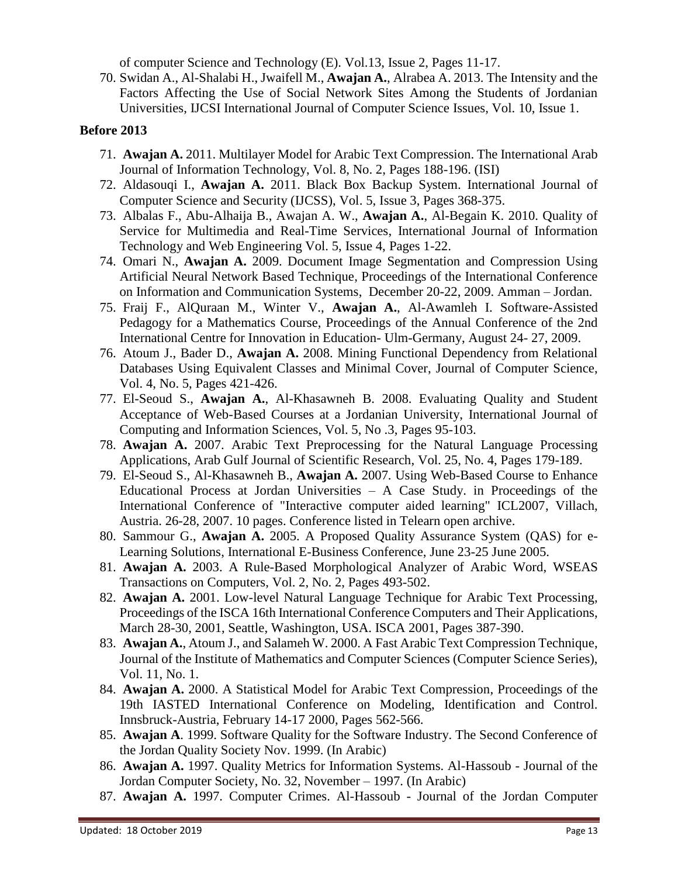of computer Science and Technology (E). Vol.13, Issue 2, Pages 11-17.

70. Swidan A., Al-Shalabi H., Jwaifell M., **Awajan A.**, Alrabea A. 2013. The Intensity and the Factors Affecting the Use of Social Network Sites Among the Students of Jordanian Universities, IJCSI International Journal of Computer Science Issues, Vol. 10, Issue 1.

#### **Before 2013**

- 71. **Awajan A.** 2011. Multilayer Model for Arabic Text Compression. The International Arab Journal of Information Technology, Vol. 8, No. 2, Pages 188-196. (ISI)
- 72. Aldasouqi I., **Awajan A.** 2011. Black Box Backup System. International Journal of Computer Science and Security (IJCSS), Vol. 5, Issue 3, Pages 368-375.
- 73. Albalas F., Abu-Alhaija B., Awajan A. W., **Awajan A.**, Al-Begain K. 2010. [Quality of](http://www.igi-global.com/bookstore/article.aspx?titleid=49197)  [Service for Multimedia and Real-Time Services,](http://www.igi-global.com/bookstore/article.aspx?titleid=49197) [International Journal of Information](http://www.igi-global.com/bookstore/titledetails.aspx?titleid=49172)  [Technology and Web Engineering Vol. 5, Issue 4,](http://www.igi-global.com/bookstore/titledetails.aspx?titleid=49172) Pages 1-22.
- 74. Omari N., **Awajan A.** 2009. Document Image Segmentation and Compression Using Artificial Neural Network Based Technique, Proceedings of the International Conference on Information and Communication Systems, December 20-22, 2009. Amman – Jordan.
- 75. Fraij F., AlQuraan M., Winter V., **Awajan A.**, Al-Awamleh I. Software-Assisted Pedagogy for a Mathematics Course, Proceedings of the Annual Conference of the 2nd International Centre for Innovation in Education- Ulm-Germany, August 24- 27, 2009.
- 76. Atoum J., Bader D., **Awajan A.** 2008. Mining Functional Dependency from Relational Databases Using Equivalent Classes and Minimal Cover, Journal of Computer Science, Vol. 4, No. 5, Pages 421-426.
- 77. El-Seoud S., **Awajan A.**, Al-Khasawneh B. 2008. Evaluating Quality and Student Acceptance of Web-Based Courses at a Jordanian University, International Journal of Computing and Information Sciences, Vol. 5, No .3, Pages 95-103.
- 78. **Awajan A.** 2007. Arabic Text Preprocessing for the Natural Language Processing Applications, Arab Gulf Journal of Scientific Research, Vol. 25, No. 4, Pages 179-189.
- 79. El-Seoud S., Al-Khasawneh B., **Awajan A.** 2007. Using Web-Based Course to Enhance Educational Process at Jordan Universities – A Case Study. in Proceedings of the International Conference of "Interactive computer aided learning" ICL2007, Villach, Austria. 26-28, 2007. 10 pages. Conference listed in Telearn open archive.
- 80. Sammour G., **Awajan A.** 2005. A Proposed Quality Assurance System (QAS) for e-Learning Solutions, International E-Business Conference, June 23-25 June 2005.
- 81. **Awajan A.** 2003. A Rule-Based Morphological Analyzer of Arabic Word, WSEAS Transactions on Computers, Vol. 2, No. 2, Pages 493-502.
- 82. **Awajan A.** 2001. Low-level Natural Language Technique for Arabic Text Processing, Proceedings of the ISCA 16th International Conference Computers and Their Applications, March 28-30, 2001, Seattle, Washington, USA. ISCA 2001, Pages 387-390.
- 83. **Awajan A.**, Atoum J., and Salameh W. 2000. A Fast Arabic Text Compression Technique, Journal of the Institute of Mathematics and Computer Sciences (Computer Science Series), Vol. 11, No. 1.
- 84. **Awajan A.** 2000. A Statistical Model for Arabic Text Compression, Proceedings of the 19th IASTED International Conference on Modeling, Identification and Control. Innsbruck-Austria, February 14-17 2000, Pages 562-566.
- 85. **Awajan A**. 1999. Software Quality for the Software Industry. The Second Conference of the Jordan Quality Society Nov. 1999. (In Arabic)
- 86. **Awajan A.** 1997. Quality Metrics for Information Systems. Al-Hassoub Journal of the Jordan Computer Society, No. 32, November – 1997. (In Arabic)
- 87. **Awajan A.** 1997. Computer Crimes. Al-Hassoub Journal of the Jordan Computer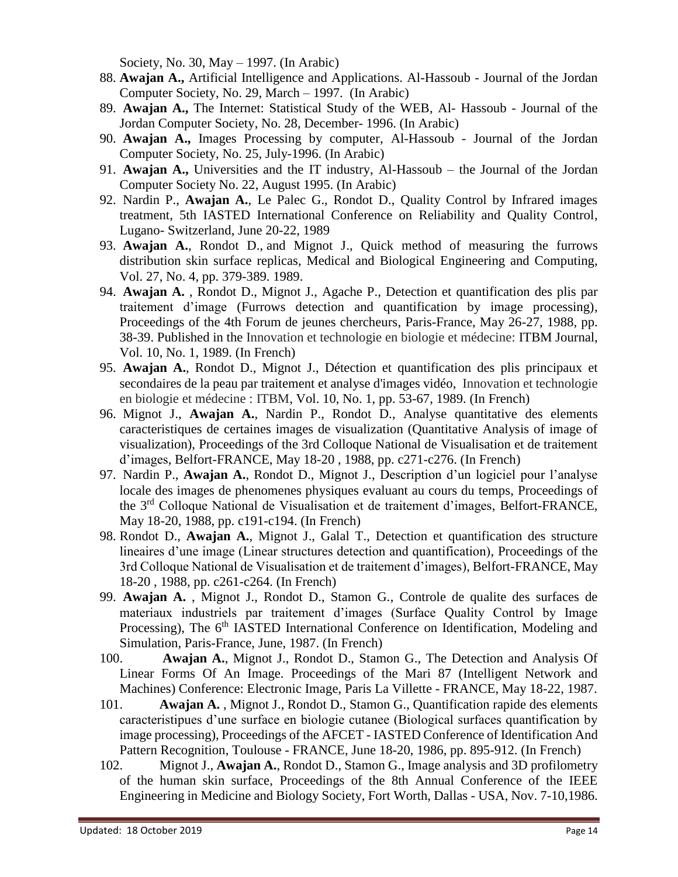Society, No. 30, May – 1997. (In Arabic)

- 88. **Awajan A.,** Artificial Intelligence and Applications. Al-Hassoub Journal of the Jordan Computer Society, No. 29, March – 1997. (In Arabic)
- 89. **Awajan A.,** The Internet: Statistical Study of the WEB, Al- Hassoub Journal of the Jordan Computer Society, No. 28, December- 1996. (In Arabic)
- 90. **Awajan A.,** Images Processing by computer, Al-Hassoub Journal of the Jordan Computer Society, No. 25, July-1996. (In Arabic)
- 91. **Awajan A.,** Universities and the IT industry, Al-Hassoub the Journal of the Jordan Computer Society No. 22, August 1995. (In Arabic)
- 92. Nardin P., **Awajan A.**, Le Palec G., Rondot D., Quality Control by Infrared images treatment, 5th IASTED International Conference on Reliability and Quality Control, Lugano- Switzerland, June 20-22, 1989
- 93. **Awajan A.**, Rondot D., and Mignot J., Quick method of measuring the furrows distribution skin surface replicas, Medical and Biological Engineering and Computing, Vol. 27, No. 4, pp. 379-389. 1989.
- 94. **Awajan A.** , Rondot D., Mignot J., Agache P., Detection et quantification des plis par traitement d'image (Furrows detection and quantification by image processing), Proceedings of the 4th Forum de jeunes chercheurs, Paris-France, May 26-27, 1988, pp. 38-39. Published in the Innovation et technologie en biologie et médecine: ITBM Journal, Vol. 10, No. 1, 1989. (In French)
- 95. **Awajan A.**, Rondot D., Mignot J., Détection et quantification des plis principaux et secondaires de la peau par traitement et analyse d'images vidéo, Innovation et technologie en biologie et médecine : ITBM, Vol. 10, No. 1, pp. 53-67, 1989. (In French)
- 96. Mignot J., **Awajan A.**, Nardin P., Rondot D., Analyse quantitative des elements caracteristiques de certaines images de visualization (Quantitative Analysis of image of visualization), Proceedings of the 3rd Colloque National de Visualisation et de traitement d'images, Belfort-FRANCE, May 18-20 , 1988, pp. c271-c276. (In French)
- 97. Nardin P., **Awajan A.**, Rondot D., Mignot J., Description d'un logiciel pour l'analyse locale des images de phenomenes physiques evaluant au cours du temps, Proceedings of the 3rd Colloque National de Visualisation et de traitement d'images, Belfort-FRANCE, May 18-20, 1988, pp. c191-c194. (In French)
- 98. Rondot D., **Awajan A.**, Mignot J., Galal T., Detection et quantification des structure lineaires d'une image (Linear structures detection and quantification), Proceedings of the 3rd Colloque National de Visualisation et de traitement d'images), Belfort-FRANCE, May 18-20 , 1988, pp. c261-c264. (In French)
- 99. **Awajan A.** , Mignot J., Rondot D., Stamon G., Controle de qualite des surfaces de materiaux industriels par traitement d'images (Surface Quality Control by Image Processing), The 6<sup>th</sup> IASTED International Conference on Identification, Modeling and Simulation, Paris-France, June, 1987. (In French)
- 100. **Awajan A.**, Mignot J., Rondot D., Stamon G., The Detection and Analysis Of Linear Forms Of An Image. Proceedings of the Mari 87 (Intelligent Network and Machines) Conference: Electronic Image, Paris La Villette - FRANCE, May 18-22, 1987.
- 101. **Awajan A.** , Mignot J., Rondot D., Stamon G., Quantification rapide des elements caracteristipues d'une surface en biologie cutanee (Biological surfaces quantification by image processing), Proceedings of the AFCET - IASTED Conference of Identification And Pattern Recognition, Toulouse - FRANCE, June 18-20, 1986, pp. 895-912. (In French)
- 102. Mignot J., **Awajan A.**, Rondot D., Stamon G., Image analysis and 3D profilometry of the human skin surface, Proceedings of the 8th Annual Conference of the IEEE Engineering in Medicine and Biology Society, Fort Worth, Dallas - USA, Nov. 7-10,1986.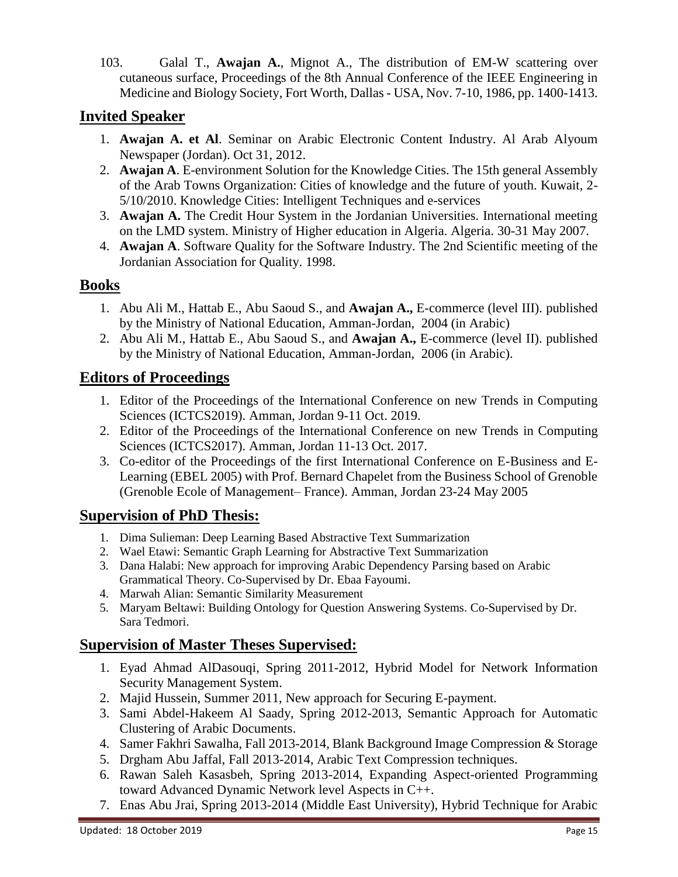103. Galal T., **Awajan A.**, Mignot A., The distribution of EM-W scattering over cutaneous surface, Proceedings of the 8th Annual Conference of the IEEE Engineering in Medicine and Biology Society, Fort Worth, Dallas - USA, Nov. 7-10, 1986, pp. 1400-1413.

## **Invited Speaker**

- 1. **Awajan A. et Al**. Seminar on Arabic Electronic Content Industry. Al Arab Alyoum Newspaper (Jordan). Oct 31, 2012.
- 2. **Awajan A**. E-environment Solution for the Knowledge Cities. The 15th general Assembly of the Arab Towns Organization: Cities of knowledge and the future of youth. Kuwait, 2- 5/10/2010. Knowledge Cities: Intelligent Techniques and e-services
- 3. **Awajan A.** The Credit Hour System in the Jordanian Universities. International meeting on the LMD system. Ministry of Higher education in Algeria. Algeria. 30-31 May 2007.
- 4. **Awajan A**. Software Quality for the Software Industry. The 2nd Scientific meeting of the Jordanian Association for Quality. 1998.

## **Books**

- 1. Abu Ali M., Hattab E., Abu Saoud S., and **Awajan A.,** E-commerce (level III). published by the Ministry of National Education, Amman-Jordan, 2004 (in Arabic)
- 2. Abu Ali M., Hattab E., Abu Saoud S., and **Awajan A.,** E-commerce (level II). published by the Ministry of National Education, Amman-Jordan, 2006 (in Arabic).

# **Editors of Proceedings**

- 1. Editor of the Proceedings of the International Conference on new Trends in Computing Sciences (ICTCS2019). Amman, Jordan 9-11 Oct. 2019.
- 2. Editor of the Proceedings of the International Conference on new Trends in Computing Sciences (ICTCS2017). Amman, Jordan 11-13 Oct. 2017.
- 3. Co-editor of the Proceedings of the first International Conference on E-Business and E-Learning (EBEL 2005) with Prof. Bernard Chapelet from the Business School of Grenoble (Grenoble Ecole of Management– France). Amman, Jordan 23-24 May 2005

# **Supervision of PhD Thesis:**

- 1. Dima Sulieman: Deep Learning Based Abstractive Text Summarization
- 2. Wael Etawi: Semantic Graph Learning for Abstractive Text Summarization
- 3. Dana Halabi: New approach for improving Arabic Dependency Parsing based on Arabic Grammatical Theory. Co-Supervised by Dr. Ebaa Fayoumi.
- 4. Marwah Alian: Semantic Similarity Measurement
- 5. Maryam Beltawi: Building Ontology for Question Answering Systems. Co-Supervised by Dr. Sara Tedmori.

## **Supervision of Master Theses Supervised:**

- 1. Eyad Ahmad AlDasouqi, Spring 2011-2012, Hybrid Model for Network Information Security Management System.
- 2. Majid Hussein, Summer 2011, New approach for Securing E-payment.
- 3. Sami Abdel-Hakeem Al Saady, Spring 2012-2013, Semantic Approach for Automatic Clustering of Arabic Documents.
- 4. Samer Fakhri Sawalha, Fall 2013-2014, Blank Background Image Compression & Storage
- 5. Drgham Abu Jaffal, Fall 2013-2014, Arabic Text Compression techniques.
- 6. Rawan Saleh Kasasbeh, Spring 2013-2014, Expanding Aspect-oriented Programming toward Advanced Dynamic Network level Aspects in C++.
- 7. Enas Abu Jrai, Spring 2013-2014 (Middle East University), Hybrid Technique for Arabic